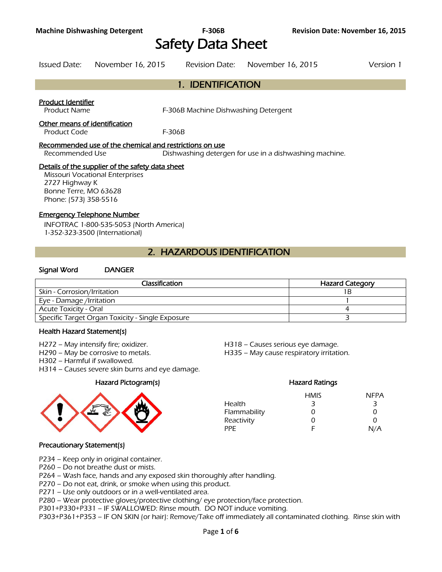# Safety Data Sheet

Issued Date: November 16, 2015 Revision Date: November 16, 2015 Version 1

1. IDENTIFICATION

#### Product Identifier

Product Name **F-306B Machine Dishwashing Detergent** 

#### Other means of identification

Product Code F-306B

#### Recommended use of the chemical and restrictions on use

Recommended Use Dishwashing detergen for use in a dishwashing machine.

#### Details of the supplier of the safety data sheet

Missouri Vocational Enterprises 2727 Highway K Bonne Terre, MO 63628 Phone: (573) 358-5516

#### Emergency Telephone Number

INFOTRAC 1-800-535-5053 (North America) 1-352-323-3500 (International)

# 2. HAZARDOUS IDENTIFICATION

#### Signal Word DANGER

| Classification                                   | <b>Hazard Category</b> |
|--------------------------------------------------|------------------------|
| Skin - Corrosion/Irritation                      | 1 B                    |
| Eye - Damage /Irritation                         |                        |
| <b>Acute Toxicity - Oral</b>                     |                        |
| Specific Target Organ Toxicity - Single Exposure |                        |
|                                                  |                        |

#### Health Hazard Statement(s)

- 
- 
- H302 Harmful if swallowed.
- H314 Causes severe skin burns and eye damage.



H272 – May intensify fire; oxidizer. H518 – Causes serious eye damage.

H290 – May be corrosive to metals. H335 – May cause respiratory irritation.

### Hazard Pictogram(s) Hazard Ratings HMIS NFPA Health 3 3 3 Flammability 0 0 0 0 Reactivity 0 0 0 PPE F N/A

#### Precautionary Statement(s)

- P234 Keep only in original container.
- P260 Do not breathe dust or mists.

P264 – Wash face, hands and any exposed skin thoroughly after handling.

P270 – Do not eat, drink, or smoke when using this product.

P271 – Use only outdoors or in a well-ventilated area.

P280 – Wear protective gloves/protective clothing/ eye protection/face protection.

P301+P330+P331 – IF SWALLOWED: Rinse mouth. DO NOT induce vomiting.

P303+P361+P353 – IF ON SKIN (or hair): Remove/Take off immediately all contaminated clothing. Rinse skin with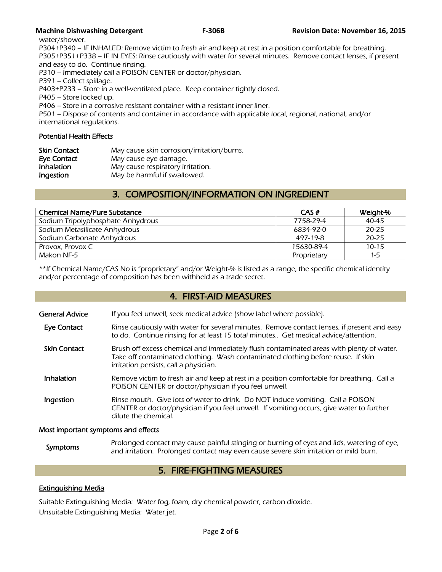water/shower.

P304+P340 – IF INHALED: Remove victim to fresh air and keep at rest in a position comfortable for breathing. P305+P351+P338 – IF IN EYES: Rinse cautiously with water for several minutes. Remove contact lenses, if present and easy to do. Continue rinsing.

P310 – Immediately call a POISON CENTER or doctor/physician.

P391 – Collect spillage.

P403+P233 – Store in a well-ventilated place. Keep container tightly closed.

P405 – Store locked up.

P406 – Store in a corrosive resistant container with a resistant inner liner.

P501 – Dispose of contents and container in accordance with applicable local, regional, national, and/or international regulations.

#### Potential Health Effects

| <b>Skin Contact</b> | May cause skin corrosion/irritation/burns. |
|---------------------|--------------------------------------------|
| Eye Contact         | May cause eye damage.                      |
| <b>Inhalation</b>   | May cause respiratory irritation.          |
| Ingestion           | May be harmful if swallowed.               |

# 3. COMPOSITION/INFORMATION ON INGREDIENT

| CAS#        | Weight-%  |
|-------------|-----------|
| 7758-29-4   | $40 - 45$ |
| 6834-92-0   | $20 - 25$ |
| 497-19-8    | $20 - 25$ |
| 15630-89-4  | $10 - 15$ |
| Proprietary | 1-5       |
|             |           |

\*\*If Chemical Name/CAS No is "proprietary" and/or Weight-% is listed as a range, the specific chemical identity and/or percentage of composition has been withheld as a trade secret.

## 4. FIRST-AID MEASURES

| General Advice | If you feel unwell, seek medical advice (show label where possible). |
|----------------|----------------------------------------------------------------------|
|                |                                                                      |

- Eye Contact Rinse cautiously with water for several minutes. Remove contact lenses, if present and easy to do. Continue rinsing for at least 15 total minutes.. Get medical advice/attention.
- Skin Contact Brush off excess chemical and immediately flush contaminated areas with plenty of water. Take off contaminated clothing. Wash contaminated clothing before reuse. If skin irritation persists, call a physician.
- Inhalation Remove victim to fresh air and keep at rest in a position comfortable for breathing. Call a POISON CENTER or doctor/physician if you feel unwell.
- **Ingestion** Rinse mouth. Give lots of water to drink. Do NOT induce vomiting. Call a POISON CENTER or doctor/physician if you feel unwell. If vomiting occurs, give water to further dilute the chemical.

#### Most important symptoms and effects

Symptoms Prolonged contact may cause painful stinging or burning of eyes and lids, watering of eye,<br>Symptoms and initation. Prolonged contact may such sause severe skip initation or mild burn and irritation. Prolonged contact may even cause severe skin irritation or mild burn.

# 5. FIRE-FIGHTING MEASURES

### Extinguishing Media

Suitable Extinguishing Media: Water fog, foam, dry chemical powder, carbon dioxide. Unsuitable Extinguishing Media: Water jet.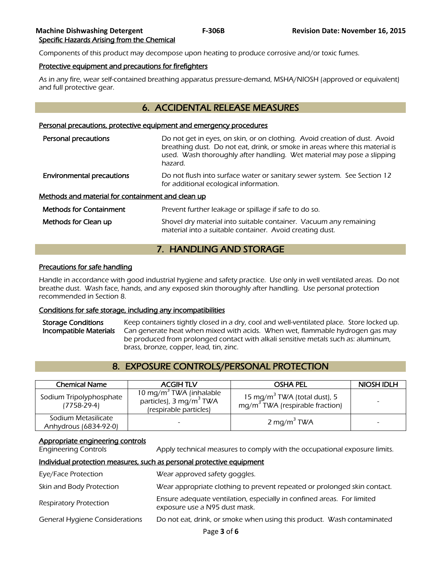Components of this product may decompose upon heating to produce corrosive and/or toxic fumes.

#### Protective equipment and precautions for firefighters

As in any fire, wear self-contained breathing apparatus pressure-demand, MSHA/NIOSH (approved or equivalent) and full protective gear.

# 6. ACCIDENTAL RELEASE MEASURES

#### Personal precautions, protective equipment and emergency procedures

| Personal precautions                              | Do not get in eyes, on skin, or on clothing. Avoid creation of dust. Avoid<br>breathing dust. Do not eat, drink, or smoke in areas where this material is<br>used. Wash thoroughly after handling. Wet material may pose a slipping |  |
|---------------------------------------------------|-------------------------------------------------------------------------------------------------------------------------------------------------------------------------------------------------------------------------------------|--|
|                                                   | hazard.                                                                                                                                                                                                                             |  |
| <b>Environmental precautions</b>                  | Do not flush into surface water or sanitary sewer system. See Section 12<br>for additional ecological information.                                                                                                                  |  |
| Methods and material for containment and clean up |                                                                                                                                                                                                                                     |  |
| <b>Methods for Containment</b>                    | Prevent further leakage or spillage if safe to do so.                                                                                                                                                                               |  |
| Methods for Clean up                              | Shovel dry material into suitable container. Vacuum any remaining<br>material into a suitable container. Avoid creating dust.                                                                                                       |  |

# 7. HANDLING AND STORAGE

#### Precautions for safe handling

Handle in accordance with good industrial hygiene and safety practice. Use only in well ventilated areas. Do not breathe dust. Wash face, hands, and any exposed skin thoroughly after handling. Use personal protection recommended in Section 8.

#### Conditions for safe storage, including any incompatibilities

Storage Conditions Keep containers tightly closed in a dry, cool and well-ventilated place. Store locked up. Incompatible Materials Can generate heat when mixed with acids. When wet, flammable hydrogen gas may be produced from prolonged contact with alkali sensitive metals such as: aluminum, brass, bronze, copper, lead, tin, zinc.

# 8. EXPOSURE CONTROLS/PERSONAL PROTECTION

| <b>Chemical Name</b>                         | <b>ACGIH TLV</b>                                                                                     | <b>OSHA PEL</b>                                                               | NIOSH IDLH |
|----------------------------------------------|------------------------------------------------------------------------------------------------------|-------------------------------------------------------------------------------|------------|
| Sodium Tripolyphosphate<br>$(7758-29-4)$     | 10 mg/m <sup>3</sup> TWA (inhalable<br>particles), 3 mg/m <sup>3</sup> TWA<br>(respirable particles) | 15 mg/m <sup>3</sup> TWA (total dust), 5<br>$mg/m3 TWA$ (respirable fraction) |            |
| Sodium Metasilicate<br>Anhydrous (6834-92-0) |                                                                                                      | 2 mg/m <sup>3</sup> TWA                                                       |            |

#### Appropriate engineering controls

Engineering Controls Apply technical measures to comply with the occupational exposure limits.

#### Individual protection measures, such as personal protective equipment

| Eye/Face Protection                   | Wear approved safety goggles.                                                                           |
|---------------------------------------|---------------------------------------------------------------------------------------------------------|
| Skin and Body Protection              | Wear appropriate clothing to prevent repeated or prolonged skin contact.                                |
| <b>Respiratory Protection</b>         | Ensure adequate ventilation, especially in confined areas. For limited<br>exposure use a N95 dust mask. |
| <b>General Hygiene Considerations</b> | Do not eat, drink, or smoke when using this product. Wash contaminated                                  |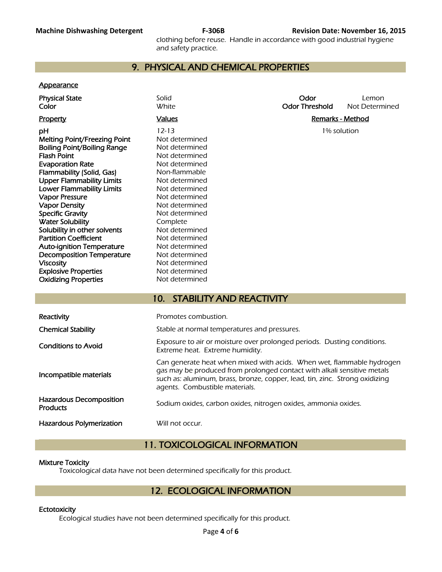clothing before reuse. Handle in accordance with good industrial hygiene and safety practice.

# 9. PHYSICAL AND CHEMICAL PROPERTIES

#### **Appearance**

| <b>Physical State</b><br>Color                                                                                                                                                                                                                                                                                                                                                                                                                                                                                                          | Solid<br><b>White</b>                                                                                                                                                                                                                                                                                                | Odor<br><b>Odor Threshold</b> | Lemon<br>Not Determined |
|-----------------------------------------------------------------------------------------------------------------------------------------------------------------------------------------------------------------------------------------------------------------------------------------------------------------------------------------------------------------------------------------------------------------------------------------------------------------------------------------------------------------------------------------|----------------------------------------------------------------------------------------------------------------------------------------------------------------------------------------------------------------------------------------------------------------------------------------------------------------------|-------------------------------|-------------------------|
| <b>Property</b>                                                                                                                                                                                                                                                                                                                                                                                                                                                                                                                         | <b>Values</b>                                                                                                                                                                                                                                                                                                        | <b>Remarks - Method</b>       |                         |
| pH<br><b>Melting Point/Freezing Point</b><br><b>Boiling Point/Boiling Range</b><br><b>Flash Point</b><br><b>Evaporation Rate</b><br>Flammability (Solid, Gas)<br><b>Upper Flammability Limits</b><br><b>Lower Flammability Limits</b><br><b>Vapor Pressure</b><br><b>Vapor Density</b><br><b>Specific Gravity</b><br><b>Water Solubility</b><br>Solubility in other solvents<br><b>Partition Coefficient</b><br><b>Auto-ignition Temperature</b><br><b>Decomposition Temperature</b><br><b>Viscosity</b><br><b>Explosive Properties</b> | $12 - 13$<br>Not determined<br>Not determined<br>Not determined<br>Not determined<br>Non-flammable<br>Not determined<br>Not determined<br>Not determined<br>Not determined<br>Not determined<br>Complete<br>Not determined<br>Not determined<br>Not determined<br>Not determined<br>Not determined<br>Not determined | 1% solution                   |                         |
| <b>Oxidizing Properties</b>                                                                                                                                                                                                                                                                                                                                                                                                                                                                                                             | Not determined                                                                                                                                                                                                                                                                                                       |                               |                         |
|                                                                                                                                                                                                                                                                                                                                                                                                                                                                                                                                         | <b>STABILITY AND REACTIVITY</b><br>10.                                                                                                                                                                                                                                                                               |                               |                         |
| Reactivity                                                                                                                                                                                                                                                                                                                                                                                                                                                                                                                              | Promotes combustion.                                                                                                                                                                                                                                                                                                 |                               |                         |
| <b>Chemical Stability</b>                                                                                                                                                                                                                                                                                                                                                                                                                                                                                                               | Stable at normal temperatures and pressures.                                                                                                                                                                                                                                                                         |                               |                         |
| <b>Conditions to Avoid</b>                                                                                                                                                                                                                                                                                                                                                                                                                                                                                                              | Exposure to air or moisture over prolonged periods. Dusting conditions.<br>Extreme heat. Extreme humidity.                                                                                                                                                                                                           |                               |                         |
|                                                                                                                                                                                                                                                                                                                                                                                                                                                                                                                                         | Can generate heat when mixed with acids. When wet, flammable hydrogen                                                                                                                                                                                                                                                |                               |                         |

| Reactivity                                        | Promotes combustion.                                                                                                                                                                                                                                              |
|---------------------------------------------------|-------------------------------------------------------------------------------------------------------------------------------------------------------------------------------------------------------------------------------------------------------------------|
| <b>Chemical Stability</b>                         | Stable at normal temperatures and pressures.                                                                                                                                                                                                                      |
| <b>Conditions to Avoid</b>                        | Exposure to air or moisture over prolonged periods. Dusting conditions.<br>Extreme heat. Extreme humidity.                                                                                                                                                        |
| Incompatible materials                            | Can generate heat when mixed with acids. When wet, flammable hydrogen<br>gas may be produced from prolonged contact with alkali sensitive metals<br>such as: aluminum, brass, bronze, copper, lead, tin, zinc. Strong oxidizing<br>agents. Combustible materials. |
| <b>Hazardous Decomposition</b><br><b>Products</b> | Sodium oxides, carbon oxides, nitrogen oxides, ammonia oxides.                                                                                                                                                                                                    |
| Hazardous Polymerization                          | Will not occur.                                                                                                                                                                                                                                                   |

# 11. TOXICOLOGICAL INFORMATION

### Mixture Toxicity

Toxicological data have not been determined specifically for this product.

# 12. ECOLOGICAL INFORMATION

#### **Ectotoxicity**

Ecological studies have not been determined specifically for this product.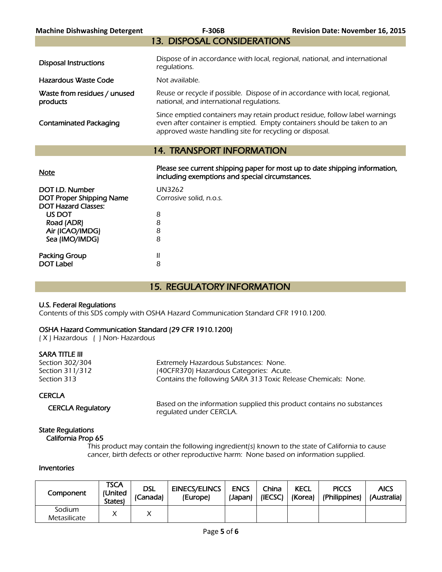| <b>Machine Dishwashing Detergent</b>     | <b>F-306B</b>                                                                                                                                                                                                    | <b>Revision Date: November 16, 2015</b> |
|------------------------------------------|------------------------------------------------------------------------------------------------------------------------------------------------------------------------------------------------------------------|-----------------------------------------|
|                                          | <b>13. DISPOSAL CONSIDERATIONS</b>                                                                                                                                                                               |                                         |
| <b>Disposal Instructions</b>             | Dispose of in accordance with local, regional, national, and international<br>regulations.                                                                                                                       |                                         |
| Hazardous Waste Code                     | Not available.                                                                                                                                                                                                   |                                         |
| Waste from residues / unused<br>products | Reuse or recycle if possible. Dispose of in accordance with local, regional,<br>national, and international requlations.                                                                                         |                                         |
| <b>Contaminated Packaging</b>            | Since emptied containers may retain product residue, follow label warnings<br>even after container is emptied. Empty containers should be taken to an<br>approved waste handling site for recycling or disposal. |                                         |
| <b>14. TRANSPORT INFORMATION</b>         |                                                                                                                                                                                                                  |                                         |
| <b>Note</b>                              | Please see current shipping paper for most up to date shipping information,<br>including exemptions and special circumstances.                                                                                   |                                         |
| DOTID Number                             | 11117727                                                                                                                                                                                                         |                                         |

| DOT I.D. Number                 | <b>UN3262</b>           |
|---------------------------------|-------------------------|
| <b>DOT Proper Shipping Name</b> | Corrosive solid, n.o.s. |
| <b>DOT Hazard Classes:</b>      |                         |
| US DOT                          | 8                       |
| Road (ADR)                      | 8                       |
| Air (ICAO/IMDG)                 | 8                       |
| Sea (IMO/IMDG)                  | 8                       |
|                                 |                         |
| Packing Group                   | Ш                       |
| <b>DOT Label</b>                | 8                       |
|                                 |                         |

# 15. REGULATORY INFORMATION

#### U.S. Federal Regulations

Contents of this SDS comply with OSHA Hazard Communication Standard CFR 1910.1200.

# OSHA Hazard Communication Standard (29 CFR 1910.1200)

( X ) Hazardous ( ) Non- Hazardous

### SARA TITLE III

| Section 302/304 | Extremely Hazardous Substances: None.                          |
|-----------------|----------------------------------------------------------------|
| Section 311/312 | (40CFR370) Hazardous Categories: Acute.                        |
| Section 313     | Contains the following SARA 313 Toxic Release Chemicals: None. |
|                 |                                                                |

#### **CERCLA**

CERCLA Regulatory Based on the information supplied this product contains no substances regulated under CERCLA.

#### State Regulations California Prop 65

 This product may contain the following ingredient(s) known to the state of California to cause cancer, birth defects or other reproductive harm: None based on information supplied.

#### Inventories

| Component              | TSCA<br>(United<br>States) | dsl<br>(Canada) | <b>EINECS/ELINCS</b><br>(Europe) | <b>ENCS</b><br>(Japan) | China<br>(IECSC) | <b>KECL</b><br>(Korea) | <b>PICCS</b><br>(Philippines) | <b>AICS</b><br>(Australia) |
|------------------------|----------------------------|-----------------|----------------------------------|------------------------|------------------|------------------------|-------------------------------|----------------------------|
| Sodium<br>Metasilicate |                            |                 |                                  |                        |                  |                        |                               |                            |